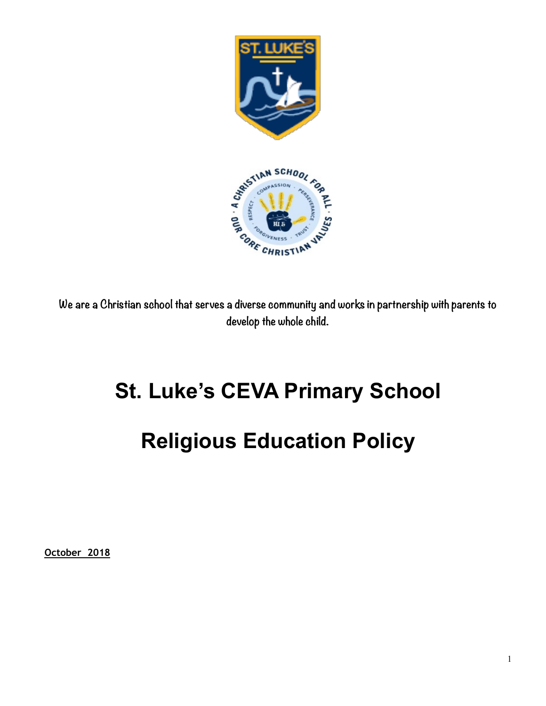

**We are a Christian school that serves a diverse community and works in partnership with parents to develop the whole child.** 

## **St. Luke's CEVA Primary School**

# **Religious Education Policy**

**October 2018**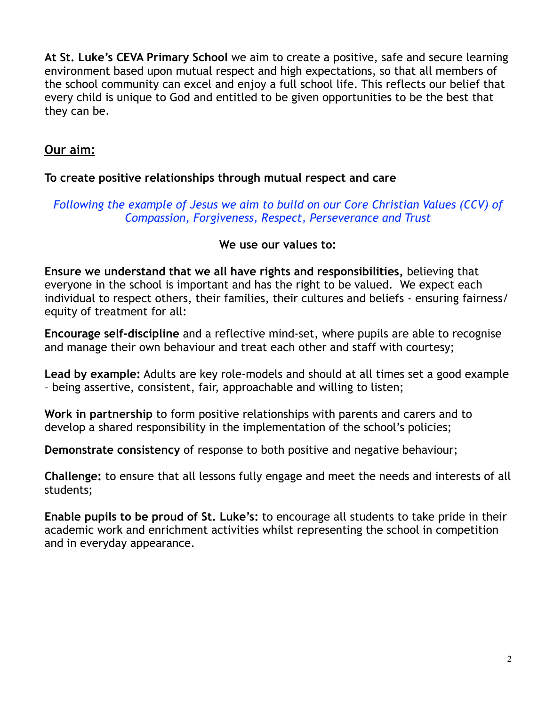**At St. Luke's CEVA Primary School** we aim to create a positive, safe and secure learning environment based upon mutual respect and high expectations, so that all members of the school community can excel and enjoy a full school life. This reflects our belief that every child is unique to God and entitled to be given opportunities to be the best that they can be.

## **Our aim:**

#### **To create positive relationships through mutual respect and care**

### *Following the example of Jesus we aim to build on our Core Christian Values (CCV) of Compassion, Forgiveness, Respect, Perseverance and Trust*

#### **We use our values to:**

**Ensure we understand that we all have rights and responsibilities,** believing that everyone in the school is important and has the right to be valued. We expect each individual to respect others, their families, their cultures and beliefs - ensuring fairness/ equity of treatment for all:

**Encourage self-discipline** and a reflective mind-set, where pupils are able to recognise and manage their own behaviour and treat each other and staff with courtesy;

**Lead by example:** Adults are key role-models and should at all times set a good example – being assertive, consistent, fair, approachable and willing to listen;

**Work in partnership** to form positive relationships with parents and carers and to develop a shared responsibility in the implementation of the school's policies;

**Demonstrate consistency** of response to both positive and negative behaviour;

**Challenge:** to ensure that all lessons fully engage and meet the needs and interests of all students;

**Enable pupils to be proud of St. Luke's:** to encourage all students to take pride in their academic work and enrichment activities whilst representing the school in competition and in everyday appearance.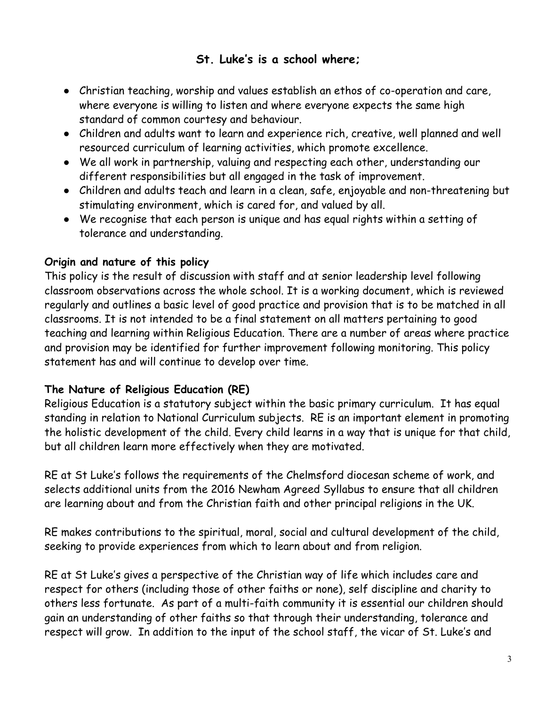## **St. Luke's is a school where;**

- ! Christian teaching, worship and values establish an ethos of co-operation and care, where everyone is willing to listen and where everyone expects the same high standard of common courtesy and behaviour.
- ! Children and adults want to learn and experience rich, creative, well planned and well resourced curriculum of learning activities, which promote excellence.
- ! We all work in partnership, valuing and respecting each other, understanding our different responsibilities but all engaged in the task of improvement.
- ! Children and adults teach and learn in a clean, safe, enjoyable and non-threatening but stimulating environment, which is cared for, and valued by all.
- ! We recognise that each person is unique and has equal rights within a setting of tolerance and understanding.

## **Origin and nature of this policy**

This policy is the result of discussion with staff and at senior leadership level following classroom observations across the whole school. It is a working document, which is reviewed regularly and outlines a basic level of good practice and provision that is to be matched in all classrooms. It is not intended to be a final statement on all matters pertaining to good teaching and learning within Religious Education. There are a number of areas where practice and provision may be identified for further improvement following monitoring. This policy statement has and will continue to develop over time.

## **The Nature of Religious Education (RE)**

Religious Education is a statutory subject within the basic primary curriculum. It has equal standing in relation to National Curriculum subjects. RE is an important element in promoting the holistic development of the child. Every child learns in a way that is unique for that child, but all children learn more effectively when they are motivated.

RE at St Luke's follows the requirements of the Chelmsford diocesan scheme of work, and selects additional units from the 2016 Newham Agreed Syllabus to ensure that all children are learning about and from the Christian faith and other principal religions in the UK.

RE makes contributions to the spiritual, moral, social and cultural development of the child, seeking to provide experiences from which to learn about and from religion.

RE at St Luke's gives a perspective of the Christian way of life which includes care and respect for others (including those of other faiths or none), self discipline and charity to others less fortunate. As part of a multi-faith community it is essential our children should gain an understanding of other faiths so that through their understanding, tolerance and respect will grow. In addition to the input of the school staff, the vicar of St. Luke's and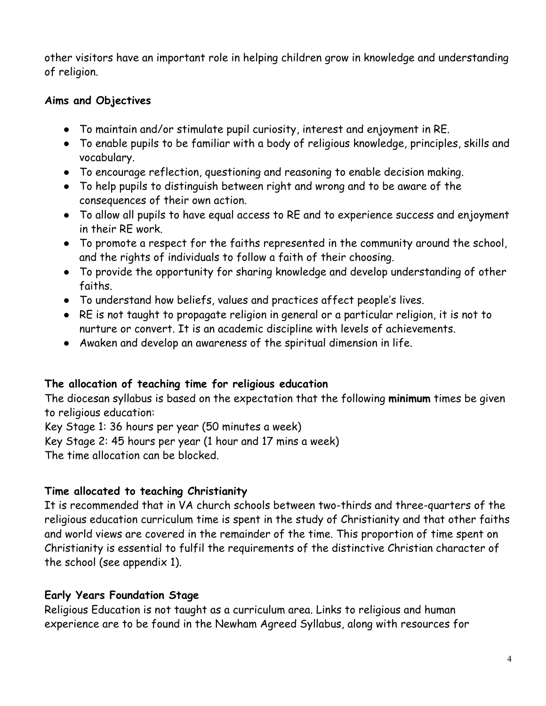other visitors have an important role in helping children grow in knowledge and understanding of religion.

#### **Aims and Objectives**

- ! To maintain and/or stimulate pupil curiosity, interest and enjoyment in RE.
- ! To enable pupils to be familiar with a body of religious knowledge, principles, skills and vocabulary.
- ! To encourage reflection, questioning and reasoning to enable decision making.
- ! To help pupils to distinguish between right and wrong and to be aware of the consequences of their own action.
- ! To allow all pupils to have equal access to RE and to experience success and enjoyment in their RE work.
- ! To promote a respect for the faiths represented in the community around the school, and the rights of individuals to follow a faith of their choosing.
- To provide the opportunity for sharing knowledge and develop understanding of other faiths.
- ! To understand how beliefs, values and practices affect people's lives.
- ! RE is not taught to propagate religion in general or a particular religion, it is not to nurture or convert. It is an academic discipline with levels of achievements.
- Awaken and develop an awareness of the spiritual dimension in life.

#### **The allocation of teaching time for religious education**

The diocesan syllabus is based on the expectation that the following **minimum** times be given to religious education:

Key Stage 1: 36 hours per year (50 minutes a week)

Key Stage 2: 45 hours per year (1 hour and 17 mins a week)

The time allocation can be blocked.

## **Time allocated to teaching Christianity**

It is recommended that in VA church schools between two-thirds and three-quarters of the religious education curriculum time is spent in the study of Christianity and that other faiths and world views are covered in the remainder of the time. This proportion of time spent on Christianity is essential to fulfil the requirements of the distinctive Christian character of the school (see appendix 1).

## **Early Years Foundation Stage**

Religious Education is not taught as a curriculum area. Links to religious and human experience are to be found in the Newham Agreed Syllabus, along with resources for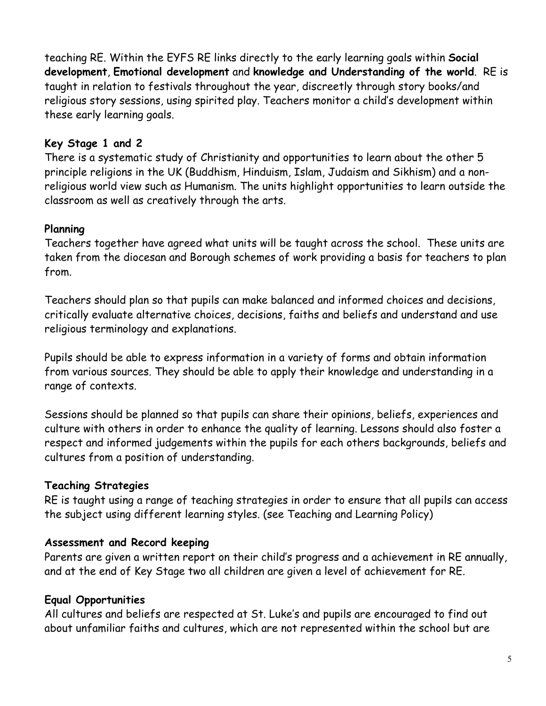teaching RE. Within the EYFS RE links directly to the early learning goals within **Social development**, **Emotional development** and **knowledge and Understanding of the world**. RE is taught in relation to festivals throughout the year, discreetly through story books/and religious story sessions, using spirited play. Teachers monitor a child's development within these early learning goals.

#### **Key Stage 1 and 2**

There is a systematic study of Christianity and opportunities to learn about the other 5 principle religions in the UK (Buddhism, Hinduism, Islam, Judaism and Sikhism) and a nonreligious world view such as Humanism. The units highlight opportunities to learn outside the classroom as well as creatively through the arts.

#### **Planning**

Teachers together have agreed what units will be taught across the school. These units are taken from the diocesan and Borough schemes of work providing a basis for teachers to plan from.

Teachers should plan so that pupils can make balanced and informed choices and decisions, critically evaluate alternative choices, decisions, faiths and beliefs and understand and use religious terminology and explanations.

Pupils should be able to express information in a variety of forms and obtain information from various sources. They should be able to apply their knowledge and understanding in a range of contexts.

Sessions should be planned so that pupils can share their opinions, beliefs, experiences and culture with others in order to enhance the quality of learning. Lessons should also foster a respect and informed judgements within the pupils for each others backgrounds, beliefs and cultures from a position of understanding.

#### **Teaching Strategies**

RE is taught using a range of teaching strategies in order to ensure that all pupils can access the subject using different learning styles. (see Teaching and Learning Policy)

#### **Assessment and Record keeping**

Parents are given a written report on their child's progress and a achievement in RE annually, and at the end of Key Stage two all children are given a level of achievement for RE.

## **Equal Opportunities**

All cultures and beliefs are respected at St. Luke's and pupils are encouraged to find out about unfamiliar faiths and cultures, which are not represented within the school but are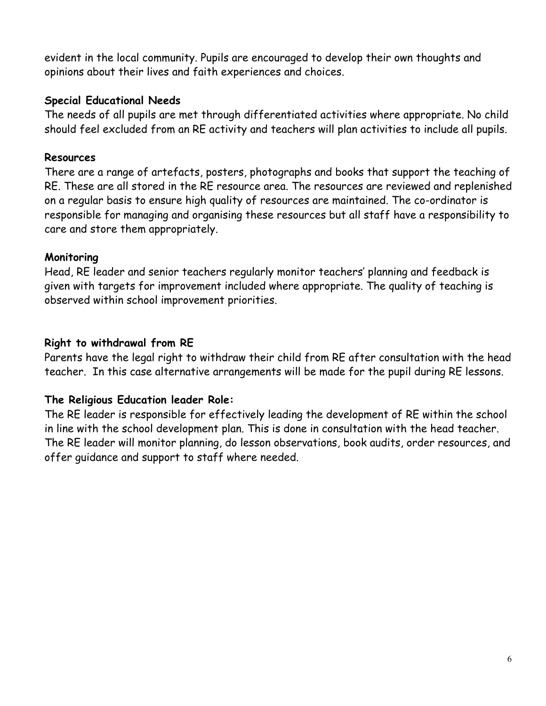evident in the local community. Pupils are encouraged to develop their own thoughts and opinions about their lives and faith experiences and choices.

#### **Special Educational Needs**

The needs of all pupils are met through differentiated activities where appropriate. No child should feel excluded from an RE activity and teachers will plan activities to include all pupils.

#### **Resources**

There are a range of artefacts, posters, photographs and books that support the teaching of RE. These are all stored in the RE resource area. The resources are reviewed and replenished on a regular basis to ensure high quality of resources are maintained. The co-ordinator is responsible for managing and organising these resources but all staff have a responsibility to care and store them appropriately.

#### **Monitoring**

Head, RE leader and senior teachers regularly monitor teachers' planning and feedback is given with targets for improvement included where appropriate. The quality of teaching is observed within school improvement priorities.

#### **Right to withdrawal from RE**

Parents have the legal right to withdraw their child from RE after consultation with the head teacher. In this case alternative arrangements will be made for the pupil during RE lessons.

#### **The Religious Education leader Role:**

The RE leader is responsible for effectively leading the development of RE within the school in line with the school development plan. This is done in consultation with the head teacher. The RE leader will monitor planning, do lesson observations, book audits, order resources, and offer guidance and support to staff where needed.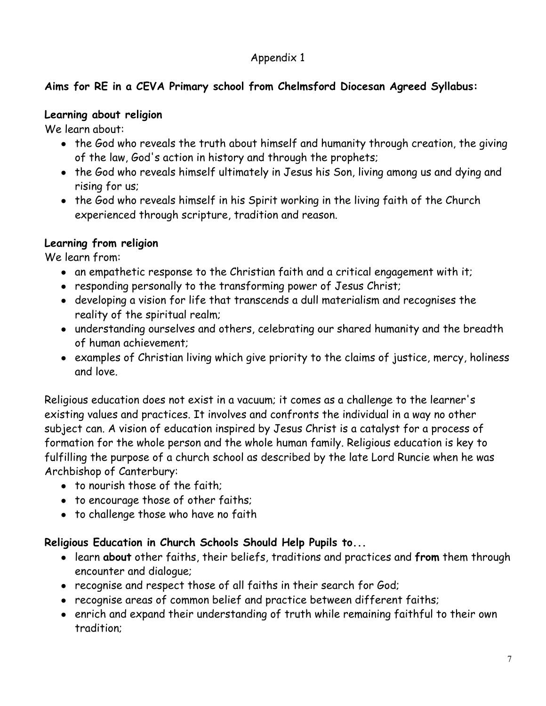## Appendix 1

## **Aims for RE in a CEVA Primary school from Chelmsford Diocesan Agreed Syllabus:**

#### **Learning about religion**

We learn about:

- the God who reveals the truth about himself and humanity through creation, the giving of the law, God's action in history and through the prophets;
- the God who reveals himself ultimately in Jesus his Son, living among us and dying and rising for us;
- the God who reveals himself in his Spirit working in the living faith of the Church experienced through scripture, tradition and reason.

## **Learning from religion**

We learn from:

- an empathetic response to the Christian faith and a critical engagement with it;
- responding personally to the transforming power of Jesus Christ;
- ! developing a vision for life that transcends a dull materialism and recognises the reality of the spiritual realm;
- ! understanding ourselves and others, celebrating our shared humanity and the breadth of human achievement;
- ! examples of Christian living which give priority to the claims of justice, mercy, holiness and love.

Religious education does not exist in a vacuum; it comes as a challenge to the learner's existing values and practices. It involves and confronts the individual in a way no other subject can. A vision of education inspired by Jesus Christ is a catalyst for a process of formation for the whole person and the whole human family. Religious education is key to fulfilling the purpose of a church school as described by the late Lord Runcie when he was Archbishop of Canterbury:

- to nourish those of the faith;
- to encourage those of other faiths;
- to challenge those who have no faith

## **Religious Education in Church Schools Should Help Pupils to...**

- ! learn **about** other faiths, their beliefs, traditions and practices and **from** them through encounter and dialogue;
- recognise and respect those of all faiths in their search for God;
- recognise areas of common belief and practice between different faiths;
- enrich and expand their understanding of truth while remaining faithful to their own tradition;